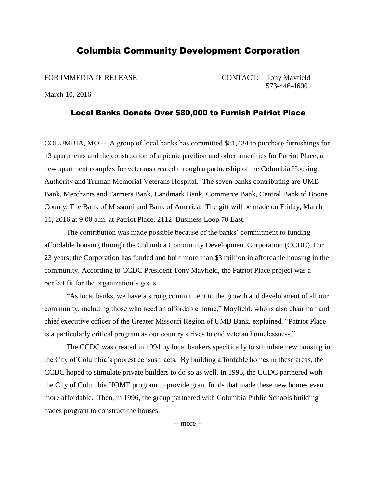## Columbia Community Development Corporation

FOR IMMEDIATE RELEASE CONTACT: Tony Mayfield 573-446-4600

March 10, 2016

## Local Banks Donate Over \$80,000 to Furnish Patriot Place

COLUMBIA, MO -- A group of local banks has committed \$81,434 to purchase furnishings for 13 apartments and the construction of a picnic pavilion and other amenities for Patriot Place, a new apartment complex for veterans created through a partnership of the Columbia Housing Authority and Truman Memorial Veterans Hospital. The seven banks contributing are UMB Bank, Merchants and Farmers Bank, Landmark Bank, Commerce Bank, Central Bank of Boone County, The Bank of Missouri and Bank of America. The gift will be made on Friday, March 11, 2016 at 9:00 a.m. at Patriot Place, 2112 Business Loop 70 East.

The contribution was made possible because of the banks' commitment to funding affordable housing through the Columbia Community Development Corporation (CCDC). For 23 years, the Corporation has funded and built more than \$3 million in affordable housing in the community. According to CCDC President Tony Mayfield, the Patriot Place project was a perfect fit for the organization's goals.

"As local banks, we have a strong commitment to the growth and development of all our community, including those who need an affordable home," Mayfield, who is also chairman and chief executive officer of the Greater Missouri Region of UMB Bank, explained. "Patriot Place is a particularly critical program as our country strives to end veteran homelessness."

The CCDC was created in 1994 by local bankers specifically to stimulate new housing in the City of Columbia's poorest census tracts. By building affordable homes in these areas, the CCDC hoped to stimulate private builders to do so as well. In 1995, the CCDC partnered with the City of Columbia HOME program to provide grant funds that made these new homes even more affordable. Then, in 1996, the group partnered with Columbia Public Schools building trades program to construct the houses.

-- more --